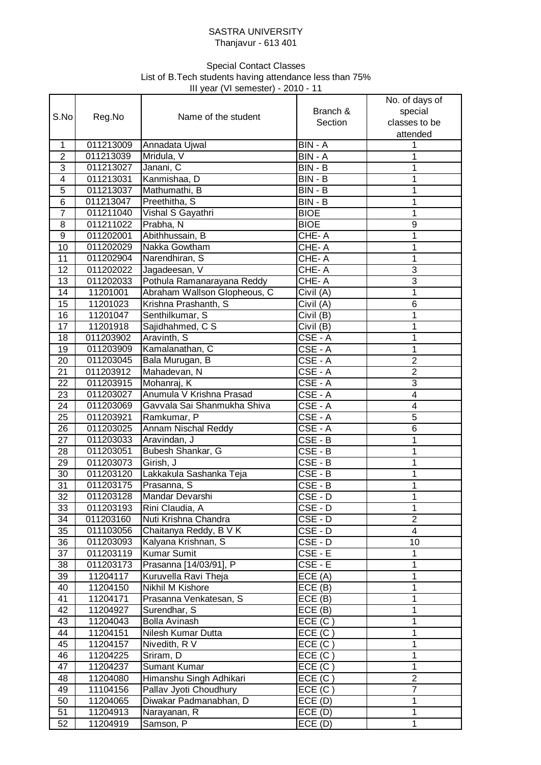## SASTRA UNIVERSITY Thanjavur - 613 401

## III year (VI semester) - 2010 - 11 Special Contact Classes List of B.Tech students having attendance less than 75%

|                  |           | . . <b>. . .</b> .           |                             |                                                        |
|------------------|-----------|------------------------------|-----------------------------|--------------------------------------------------------|
| S.No             | Reg.No    | Name of the student          | Branch &<br>Section         | No. of days of<br>special<br>classes to be<br>attended |
| $\mathbf{1}$     | 011213009 | Annadata Ujwal               | BIN - A                     | 1                                                      |
| $\overline{2}$   | 011213039 | Mridula, V                   | BIN - A                     | 1                                                      |
| $\overline{3}$   | 011213027 | Janani, C                    | $BIN - B$                   | 1                                                      |
| $\overline{4}$   |           |                              |                             |                                                        |
|                  | 011213031 | Kanmishaa, D                 | BIN - B                     | 1                                                      |
| $\overline{5}$   | 011213037 | Mathumathi, B                | BIN - B                     | 1                                                      |
| $\overline{6}$   | 011213047 | Preethitha, S                | BIN - B                     | 1                                                      |
| $\overline{7}$   | 011211040 | Vishal S Gayathri            | <b>BIOE</b>                 | 1                                                      |
| 8                | 011211022 | Prabha, N                    | <b>BIOE</b>                 | 9                                                      |
| $\boldsymbol{9}$ | 011202001 | Abithhussain, B              | CHE-A                       | 1                                                      |
| 10               | 011202029 | Nakka Gowtham                | CHE-A                       | 1                                                      |
| 11               | 011202904 | Narendhiran, S               | CHE-A                       | 1                                                      |
| 12               | 011202022 | Jagadeesan, V                | CHE-A                       | 3                                                      |
| 13               | 011202033 | Pothula Ramanarayana Reddy   | CHE-A                       | $\overline{3}$                                         |
| 14               | 11201001  | Abraham Wallson Glopheous, C | Civil $(\overline{A})$      | $\mathbf 1$                                            |
| 15               | 11201023  | Krishna Prashanth, S         | Civil $(\overline{A})$      | 6                                                      |
| 16               | 11201047  | Senthilkumar, S              | Civil $(B)$                 | 1                                                      |
| 17               | 11201918  | Sajidhahmed, C S             | Civil (B)                   | 1                                                      |
| 18               | 011203902 | Aravinth, S                  | CSE-A                       | 1                                                      |
| 19               | 011203909 | Kamalanathan, C              | $CSE - A$                   | 1                                                      |
| 20               | 011203045 | Bala Murugan, B              | CSE-A                       | $\overline{2}$                                         |
| 21               | 011203912 | Mahadevan, N                 | $\overline{\text{CSE}}$ - A | $\overline{2}$                                         |
| 22               | 011203915 | Mohanraj, K                  | CSE-A                       | 3                                                      |
| 23               | 011203027 | Anumula V Krishna Prasad     | CSE-A                       | $\overline{4}$                                         |
| 24               | 011203069 | Gavvala Sai Shanmukha Shiva  | $CSE - A$                   | 4                                                      |
| 25               | 011203921 | Ramkumar, P                  | $CSE - A$                   | 5                                                      |
| 26               | 011203025 | Annam Nischal Reddy          | CSE - A                     | 6                                                      |
| 27               | 011203033 | Aravindan, J                 | $CSE - B$                   | 1                                                      |
| 28               | 011203051 | Bubesh Shankar, G            | $CSE - B$                   | 1                                                      |
| 29               | 011203073 | Girish, J                    | $CSE - B$                   | 1                                                      |
| 30               | 011203120 | Lakkakula Sashanka Teja      | $CSE - B$                   | 1                                                      |
| 31               | 011203175 | Prasanna, S                  | CSE-B                       | 1                                                      |
|                  |           |                              |                             |                                                        |
| 32               | 011203128 | Mandar Devarshi              | CSE - D                     | 1                                                      |
| 33               | 011203193 | Rini Claudia, A              | CSE - D                     | 1                                                      |
| 34               | 011203160 | Nuti Krishna Chandra         | $CSE - D$                   | $\overline{2}$                                         |
| 35               | 011103056 | Chaitanya Reddy, B V K       | CSE - D                     | 4                                                      |
| 36               | 011203093 | Kalyana Krishnan, S          | CSE - D                     | 10                                                     |
| $\overline{37}$  | 011203119 | Kumar Sumit                  | $CSE - E$                   | $\mathbf{1}$                                           |
| 38               | 011203173 | Prasanna [14/03/91], P       | $CSE - E$                   | 1                                                      |
| 39               | 11204117  | Kuruvella Ravi Theja         | ECE(A)                      | 1                                                      |
| 40               | 11204150  | Nikhil M Kishore             | ECE(B)                      | 1                                                      |
| 41               | 11204171  | Prasanna Venkatesan, S       | ECE(B)                      | $\mathbf 1$                                            |
| 42               | 11204927  | Surendhar, S                 | ECE(B)                      | $\mathbf 1$                                            |
| 43               | 11204043  | <b>Bolla Avinash</b>         | ECE(C)                      | $\overline{1}$                                         |
| 44               | 11204151  | Nilesh Kumar Dutta           | ECE(C)                      | $\mathbf 1$                                            |
| 45               | 11204157  | Nivedith, R V                | ECE(C)                      | 1                                                      |
| 46               | 11204225  | Sriram, D                    | ECE(C)                      | 1                                                      |
| 47               | 11204237  | Sumant Kumar                 | ECE(C)                      | $\mathbf{1}$                                           |
| 48               | 11204080  | Himanshu Singh Adhikari      | ECE(C)                      | $\overline{2}$                                         |
| 49               | 11104156  | Pallav Jyoti Choudhury       | ECE(C)                      | $\overline{7}$                                         |
| 50               | 11204065  | Diwakar Padmanabhan, D       | ECE(D)                      | 1                                                      |
| 51               | 11204913  | Narayanan, R                 | ECE(D)                      | 1                                                      |
| 52               | 11204919  | Samson, P                    | ECE(D)                      | 1                                                      |
|                  |           |                              |                             |                                                        |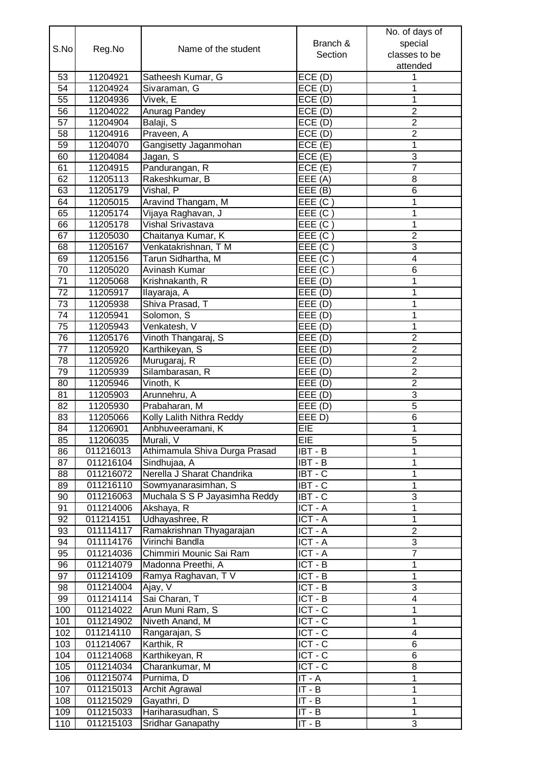|                 |           |                               |                               | No. of days of          |
|-----------------|-----------|-------------------------------|-------------------------------|-------------------------|
| S.No            |           |                               | Branch &                      | special                 |
|                 | Reg.No    | Name of the student           | Section                       | classes to be           |
|                 |           |                               |                               | attended                |
| 53              | 11204921  | Satheesh Kumar, G             | ECE(D)                        | 1                       |
| 54              | 11204924  | Sivaraman, G                  | ECE(D)                        | 1                       |
| 55              | 11204936  | Vivek, E                      | ECE(D)                        | 1                       |
| 56              | 11204022  | Anurag Pandey                 | ECE(D)                        | $\overline{2}$          |
| 57              | 11204904  | Balaji, S                     | ECE(D)                        | $\overline{2}$          |
| 58              | 11204916  | Praveen, A                    | ECE(D)                        | $\overline{2}$          |
| 59              | 11204070  | Gangisetty Jaganmohan         | ECE(E)                        | 1                       |
| 60              | 11204084  | Jagan, S                      | ECE(E)                        | $\overline{3}$          |
| 61              | 11204915  | Pandurangan, R                | ECE(E)                        | $\overline{7}$          |
| 62              | 11205113  | Rakeshkumar, B                | EEE(A)                        | 8                       |
| 63              | 11205179  | Vishal, P                     | EEE (B)                       | 6                       |
| 64              | 11205015  | Aravind Thangam, M            | EEE (C)                       | 1                       |
| 65              | 11205174  | Vijaya Raghavan, J            | EEE(C)                        | 1                       |
| 66              | 11205178  | Vishal Srivastava             | EEE (C)                       | $\overline{1}$          |
| 67              | 11205030  | Chaitanya Kumar, K            | EEE (C)                       | $\overline{2}$          |
| 68              | 11205167  | Venkatakrishnan, TM           | EEE(C)                        | 3                       |
| 69              | 11205156  | Tarun Sidhartha, M            | EEE (C)                       | $\overline{\mathbf{4}}$ |
| $\overline{70}$ | 11205020  | Avinash Kumar                 | EEE (C)                       | 6                       |
| 71              | 11205068  | Krishnakanth, R               | EEE(D)                        | 1                       |
| $\overline{72}$ | 11205917  | Ilayaraja, A                  | EEE(D)                        | $\overline{1}$          |
| $\overline{73}$ | 11205938  | Shiva Prasad, T               | EEE(D)                        | 1                       |
| $\overline{74}$ | 11205941  | Solomon, S                    | EEE(D)                        | 1                       |
| 75              | 11205943  | Venkatesh, V                  | EEE(D)                        | 1                       |
| 76              | 11205176  | Vinoth Thangaraj, S           | EEE(D)                        | $\overline{2}$          |
| 77              | 11205920  | Karthikeyan, S                | EEE(D)                        | $\overline{2}$          |
| 78              | 11205926  | Murugaraj, R                  | $\overline{\mathsf{EEE}}$ (D) | $\overline{2}$          |
| 79              | 11205939  | Silambarasan, R               | EEE(D)                        | $\mathbf 2$             |
| 80              | 11205946  | Vinoth, K                     | EEE(D)                        | $\overline{2}$          |
| 81              | 11205903  | Arunnehru, A                  | $\overline{\mathsf{EEE}}$ (D) | 3                       |
| 82              | 11205930  | Prabaharan, M                 | EEE(D)                        | $\overline{5}$          |
| 83              | 11205066  | Kolly Lalith Nithra Reddy     | EEE D)                        | $\,6$                   |
| 84              | 11206901  | Anbhuveeramani, K             | EIE                           | 1                       |
| 85              | 11206035  | Murali, V                     | EIE                           | 5                       |
| 86              | 011216013 | Athimamula Shiva Durga Prasad | $IBT - B$                     | 1                       |
| 87              | 011216104 | Sindhujaa, A                  | $IBT - B$                     | 1                       |
| 88              | 011216072 | Nerella J Sharat Chandrika    | IBT - C                       | $\mathbf 1$             |
| 89              | 011216110 | Sowmyanarasimhan, S           | $IBT - C$                     | 1                       |
| 90              | 011216063 | Muchala S S P Jayasimha Reddy | $IBT - C$                     | $\overline{3}$          |
| 91              | 011214006 | Akshaya, R                    | ICT-A                         | 1                       |
| 92              | 011214151 | Udhayashree, R                | $ICT - A$                     | 1                       |
| 93              | 011114117 | Ramakrishnan Thyagarajan      | ICT-A                         | $\overline{2}$          |
| 94              | 011114176 | Virinchi Bandla               | $ICT - A$                     | $\overline{3}$          |
| 95              | 011214036 | Chimmiri Mounic Sai Ram       | ICT - A                       | $\overline{7}$          |
| 96              | 011214079 | Madonna Preethi, A            | $ICT - B$                     | 1                       |
| 97              | 011214109 | Ramya Raghavan, TV            | $ICT - B$                     | 1                       |
| 98              | 011214004 | Ajay, V                       | $ICT - B$                     | 3                       |
| 99              | 011214114 | Sai Charan, T                 | $ICT - B$                     | $\overline{4}$          |
| 100             | 011214022 | Arun Muni Ram, S              | ICT-C                         | 1                       |
| 101             | 011214902 | Niveth Anand, M               | ICT-C                         | $\mathbf 1$             |
| 102             | 011214110 | Rangarajan, S                 | $ICT - C$                     | $\overline{\mathbf{4}}$ |
| 103             | 011214067 | Karthik, R                    | $ICT - C$                     | 6                       |
| 104             | 011214068 | Karthikeyan, R                | $ICT - C$                     | 6                       |
| 105             | 011214034 | Charankumar, M                | ICT-C                         | 8                       |
| 106             | 011215074 | Purnima, D                    | $IT - A$                      | 1                       |
| 107             | 011215013 | <b>Archit Agrawal</b>         | $IT - B$                      | 1                       |
| 108             | 011215029 | Gayathri, D                   | $IT - B$                      | $\mathbf{1}$            |
| 109             | 011215033 | Hariharasudhan, S             | $IT - B$                      | $\mathbf{1}$            |
| 110             | 011215103 | Sridhar Ganapathy             | $IT - B$                      | $\overline{3}$          |